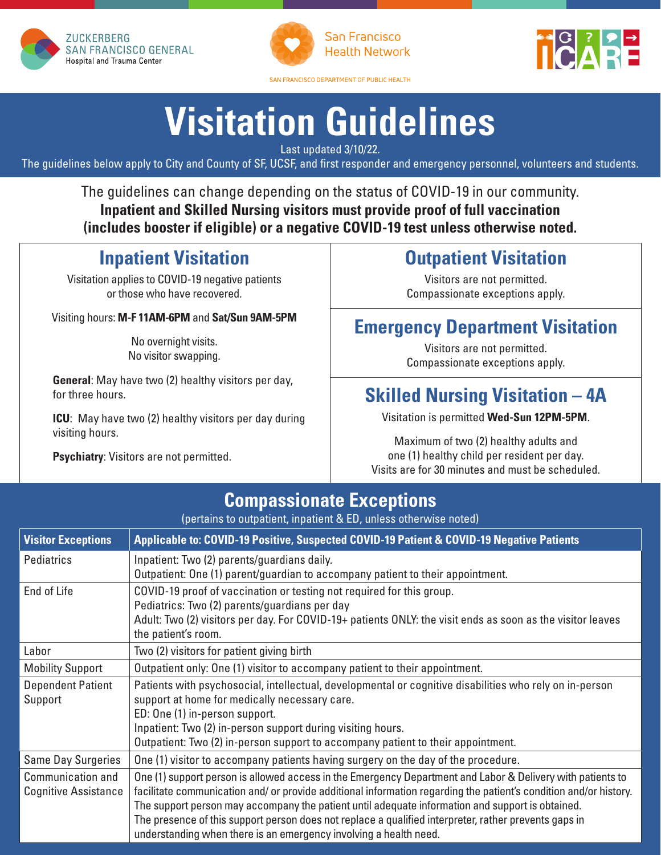



San Francisco **Health Network** 

SAN FRANCISCO DEPARTMENT OF PUBLIC HEALTH



# **Visitation Guidelines**

Last updated 3/10/22.

The guidelines below apply to City and County of SF, UCSF, and first responder and emergency personnel, volunteers and students.

The guidelines can change depending on the status of COVID-19 in our community. **Inpatient and Skilled Nursing visitors must provide proof of full vaccination (includes booster if eligible) or a negative COVID-19 test unless otherwise noted.**

### **Inpatient Visitation**

Visitation applies to COVID-19 negative patients or those who have recovered.

Visiting hours: **M-F 11AM-6PM** and **Sat/Sun 9AM-5PM**

No overnight visits. No visitor swapping.

**General**: May have two (2) healthy visitors per day, for three hours.

**ICU**: May have two (2) healthy visitors per day during visiting hours.

**Psychiatry**: Visitors are not permitted.

### **Outpatient Visitation**

Visitors are not permitted. Compassionate exceptions apply.

#### **Emergency Department Visitation**

Visitors are not permitted. Compassionate exceptions apply.

### **Skilled Nursing Visitation – 4A**

Visitation is permitted **Wed-Sun 12PM-5PM**.

Maximum of two (2) healthy adults and one (1) healthy child per resident per day. Visits are for 30 minutes and must be scheduled.

#### **Compassionate Exceptions**

(pertains to outpatient, inpatient & ED, unless otherwise noted)

| <b>Visitor Exceptions</b>                        | Applicable to: COVID-19 Positive, Suspected COVID-19 Patient & COVID-19 Negative Patients                                                                                                                                                                                                                                                                                                                                                                                                                         |
|--------------------------------------------------|-------------------------------------------------------------------------------------------------------------------------------------------------------------------------------------------------------------------------------------------------------------------------------------------------------------------------------------------------------------------------------------------------------------------------------------------------------------------------------------------------------------------|
| Pediatrics                                       | Inpatient: Two (2) parents/guardians daily.<br>Outpatient: One (1) parent/guardian to accompany patient to their appointment.                                                                                                                                                                                                                                                                                                                                                                                     |
| End of Life                                      | COVID-19 proof of vaccination or testing not required for this group.<br>Pediatrics: Two (2) parents/guardians per day<br>Adult: Two (2) visitors per day. For COVID-19+ patients ONLY: the visit ends as soon as the visitor leaves<br>the patient's room.                                                                                                                                                                                                                                                       |
| Labor                                            | Two (2) visitors for patient giving birth                                                                                                                                                                                                                                                                                                                                                                                                                                                                         |
| <b>Mobility Support</b>                          | Outpatient only: One (1) visitor to accompany patient to their appointment.                                                                                                                                                                                                                                                                                                                                                                                                                                       |
| <b>Dependent Patient</b><br>Support              | Patients with psychosocial, intellectual, developmental or cognitive disabilities who rely on in-person<br>support at home for medically necessary care.<br>ED: One (1) in-person support.<br>Inpatient: Two (2) in-person support during visiting hours.<br>Outpatient: Two (2) in-person support to accompany patient to their appointment.                                                                                                                                                                     |
| <b>Same Day Surgeries</b>                        | One (1) visitor to accompany patients having surgery on the day of the procedure.                                                                                                                                                                                                                                                                                                                                                                                                                                 |
| Communication and<br><b>Cognitive Assistance</b> | One (1) support person is allowed access in the Emergency Department and Labor & Delivery with patients to<br>facilitate communication and/ or provide additional information regarding the patient's condition and/or history.<br>The support person may accompany the patient until adequate information and support is obtained.<br>The presence of this support person does not replace a qualified interpreter, rather prevents gaps in<br>understanding when there is an emergency involving a health need. |